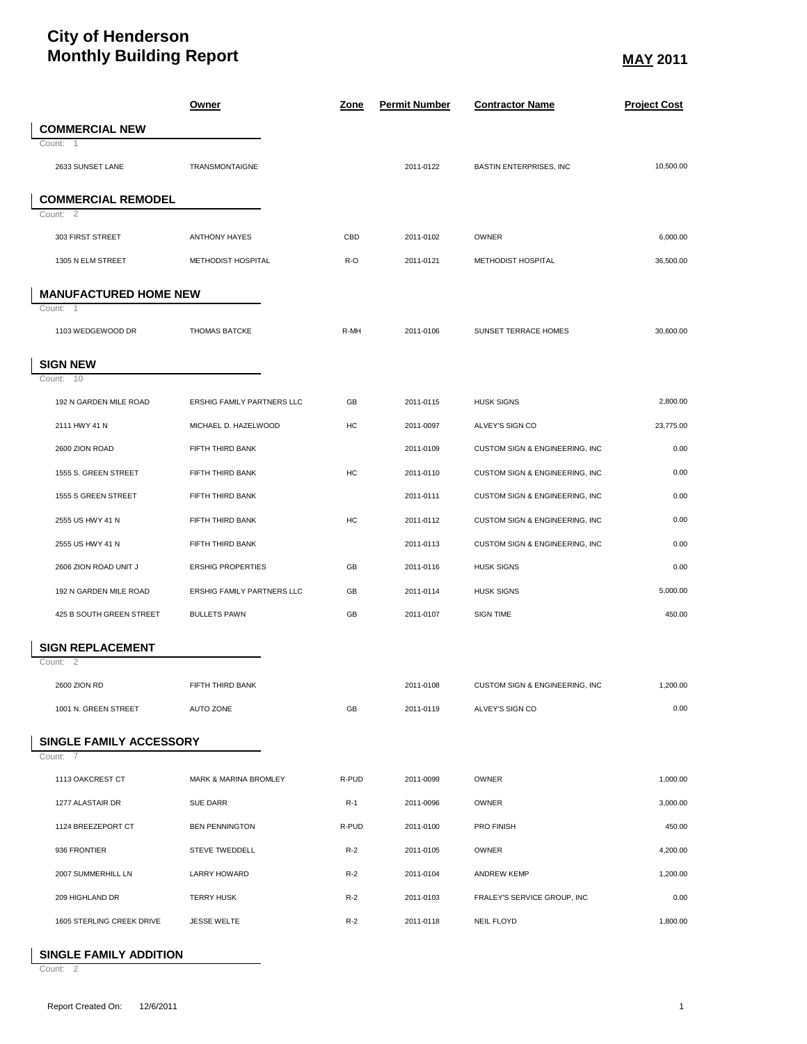## **City of Henderson Monthly Building Report** May 1999 **May** 2011

 $\overline{\phantom{a}}$ 

 $\overline{\phantom{a}}$ 

|                              | <u>Owner</u>                      | <u>Zone</u> | <b>Permit Number</b> | <b>Contractor Name</b>         | <b>Project Cost</b> |
|------------------------------|-----------------------------------|-------------|----------------------|--------------------------------|---------------------|
| <b>COMMERCIAL NEW</b>        |                                   |             |                      |                                |                     |
| Count: 1                     |                                   |             |                      |                                |                     |
| 2633 SUNSET LANE             | TRANSMONTAIGNE                    |             | 2011-0122            | <b>BASTIN ENTERPRISES, INC</b> | 10,500.00           |
| <b>COMMERCIAL REMODEL</b>    |                                   |             |                      |                                |                     |
| Count: 2                     |                                   |             |                      |                                |                     |
| 303 FIRST STREET             | <b>ANTHONY HAYES</b>              | CBD         | 2011-0102            | OWNER                          | 6,000.00            |
| 1305 N ELM STREET            | METHODIST HOSPITAL                | R-O         | 2011-0121            | METHODIST HOSPITAL             | 36,500.00           |
| <b>MANUFACTURED HOME NEW</b> |                                   |             |                      |                                |                     |
| Count: 1                     |                                   |             |                      |                                |                     |
| 1103 WEDGEWOOD DR            | <b>THOMAS BATCKE</b>              | R-MH        | 2011-0106            | SUNSET TERRACE HOMES           | 30,600.00           |
| <b>SIGN NEW</b>              |                                   |             |                      |                                |                     |
| Count: 10                    |                                   |             |                      |                                |                     |
| 192 N GARDEN MILE ROAD       | <b>ERSHIG FAMILY PARTNERS LLC</b> | GB          | 2011-0115            | <b>HUSK SIGNS</b>              | 2,800.00            |
| 2111 HWY 41 N                | MICHAEL D. HAZELWOOD              | HC          | 2011-0097            | ALVEY'S SIGN CO                | 23,775.00           |
| 2600 ZION ROAD               | FIFTH THIRD BANK                  |             | 2011-0109            | CUSTOM SIGN & ENGINEERING, INC | 0.00                |
| 1555 S. GREEN STREET         | FIFTH THIRD BANK                  | HC          | 2011-0110            | CUSTOM SIGN & ENGINEERING, INC | 0.00                |
| 1555 S GREEN STREET          | FIFTH THIRD BANK                  |             | 2011-0111            | CUSTOM SIGN & ENGINEERING, INC | 0.00                |
| 2555 US HWY 41 N             | FIFTH THIRD BANK                  | HC          | 2011-0112            | CUSTOM SIGN & ENGINEERING, INC | 0.00                |
| 2555 US HWY 41 N             | FIFTH THIRD BANK                  |             | 2011-0113            | CUSTOM SIGN & ENGINEERING, INC | 0.00                |
| 2606 ZION ROAD UNIT J        | <b>ERSHIG PROPERTIES</b>          | GB          | 2011-0116            | <b>HUSK SIGNS</b>              | 0.00                |
| 192 N GARDEN MILE ROAD       | ERSHIG FAMILY PARTNERS LLC        | GB          | 2011-0114            | <b>HUSK SIGNS</b>              | 5,000.00            |
| 425 B SOUTH GREEN STREET     | <b>BULLETS PAWN</b>               | GB          | 2011-0107            | <b>SIGN TIME</b>               | 450.00              |
| <b>SIGN REPLACEMENT</b>      |                                   |             |                      |                                |                     |
| Count: 2                     |                                   |             |                      |                                |                     |
| 2600 ZION RD                 | FIFTH THIRD BANK                  |             | 2011-0108            | CUSTOM SIGN & ENGINEERING, INC | 1,200.00            |
| 1001 N. GREEN STREET         | AUTO ZONE                         | GB          | 2011-0119            | ALVEY'S SIGN CO                | 0.00                |
| SINGLE FAMILY ACCESSORY      |                                   |             |                      |                                |                     |
| Count: 7                     |                                   |             |                      |                                |                     |
| 1113 OAKCREST CT             | MARK & MARINA BROMLEY             | R-PUD       | 2011-0099            | OWNER                          | 1,000.00            |
| 1277 ALASTAIR DR             | SUE DARR                          | $R-1$       | 2011-0096            | OWNER                          | 3,000.00            |
| 1124 BREEZEPORT CT           | <b>BEN PENNINGTON</b>             | R-PUD       | 2011-0100            | PRO FINISH                     | 450.00              |
| 936 FRONTIER                 | STEVE TWEDDELL                    | $R-2$       | 2011-0105            | OWNER                          | 4,200.00            |
| 2007 SUMMERHILL LN           | <b>LARRY HOWARD</b>               | $R-2$       | 2011-0104            | <b>ANDREW KEMP</b>             | 1,200.00            |
| 209 HIGHLAND DR              | <b>TERRY HUSK</b>                 | $R-2$       | 2011-0103            | FRALEY'S SERVICE GROUP, INC    | 0.00                |
| 1605 STERLING CREEK DRIVE    | <b>JESSE WELTE</b>                | $R-2$       | 2011-0118            | <b>NEIL FLOYD</b>              | 1,800.00            |

## **SINGLE FAMILY ADDITION**

Count: 2